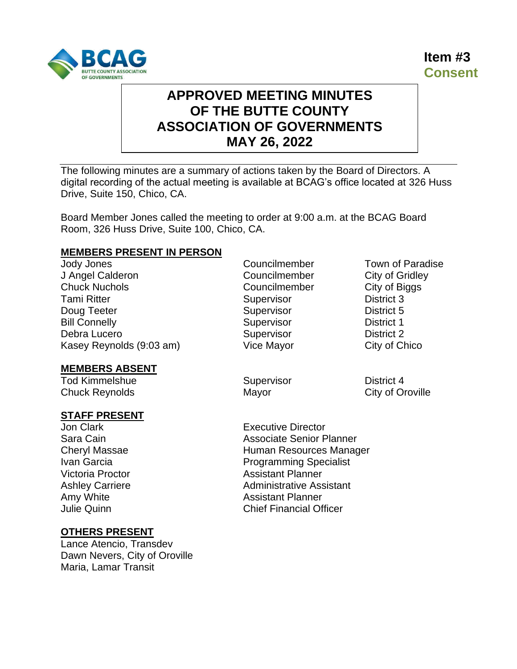



# **APPROVED MEETING MINUTES OF THE BUTTE COUNTY ASSOCIATION OF GOVERNMENTS MAY 26, 2022**

The following minutes are a summary of actions taken by the Board of Directors. A digital recording of the actual meeting is available at BCAG's office located at 326 Huss Drive, Suite 150, Chico, CA.

Board Member Jones called the meeting to order at 9:00 a.m. at the BCAG Board Room, 326 Huss Drive, Suite 100, Chico, CA.

#### **MEMBERS PRESENT IN PERSON**

Jody Jones Councilmember Town of Paradise J Angel Calderon Councilmember City of Gridley Chuck Nuchols **Councilmember** Councilmember City of Biggs **Tami Ritter Community Community Community** Supervisor Community District 3 Doug Teeter Supervisor Contact Teeter Supervisor District 5 Bill Connelly **Supervisor Connelly Connelly Connelly Connelly Connelly Connelly Connelly Connelly Connelly Connelly Connelly Connelly Connelly Connelly Connelly Connelly Connelly Connell** Debra Lucero **Supervisor CONFIDENTIAL SUPERVISOR District 2** Kasey Reynolds (9:03 am) Vice Mayor City of Chico

# **MEMBERS ABSENT**

Tod Kimmelshue **Supervisor** Supervisor **District 4** Chuck Reynolds **Mayor** Mayor City of Oroville

## **STAFF PRESENT**

Jon Clark Executive Director

# **OTHERS PRESENT**

Lance Atencio, Transdev Dawn Nevers, City of Oroville Maria, Lamar Transit

Sara Cain **Associate Senior Planner** Associate Senior Planner Cheryl Massae **Human Resources Manager Human Resources Manager** Ivan Garcia **Programming Specialist** Victoria Proctor **Assistant Planner** Ashley Carriere **Administrative Assistant** Amy White **Amy White** Assistant Planner Julie Quinn Chief Financial Officer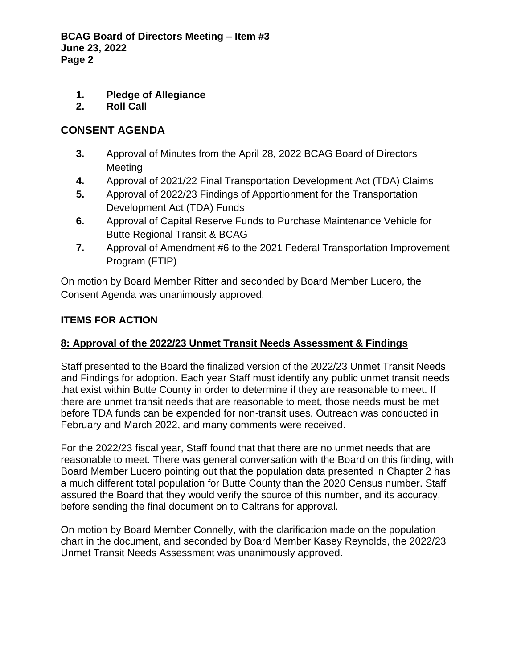- **1. Pledge of Allegiance**
- **2. Roll Call**

# **CONSENT AGENDA**

- **3.** Approval of Minutes from the April 28, 2022 BCAG Board of Directors Meeting
- **4.** Approval of 2021/22 Final Transportation Development Act (TDA) Claims
- **5.** Approval of 2022/23 Findings of Apportionment for the Transportation Development Act (TDA) Funds
- **6.** Approval of Capital Reserve Funds to Purchase Maintenance Vehicle for Butte Regional Transit & BCAG
- **7.** Approval of Amendment #6 to the 2021 Federal Transportation Improvement Program (FTIP)

On motion by Board Member Ritter and seconded by Board Member Lucero, the Consent Agenda was unanimously approved.

## **ITEMS FOR ACTION**

# **8: Approval of the 2022/23 Unmet Transit Needs Assessment & Findings**

Staff presented to the Board the finalized version of the 2022/23 Unmet Transit Needs and Findings for adoption. Each year Staff must identify any public unmet transit needs that exist within Butte County in order to determine if they are reasonable to meet. If there are unmet transit needs that are reasonable to meet, those needs must be met before TDA funds can be expended for non-transit uses. Outreach was conducted in February and March 2022, and many comments were received.

For the 2022/23 fiscal year, Staff found that that there are no unmet needs that are reasonable to meet. There was general conversation with the Board on this finding, with Board Member Lucero pointing out that the population data presented in Chapter 2 has a much different total population for Butte County than the 2020 Census number. Staff assured the Board that they would verify the source of this number, and its accuracy, before sending the final document on to Caltrans for approval.

On motion by Board Member Connelly, with the clarification made on the population chart in the document, and seconded by Board Member Kasey Reynolds, the 2022/23 Unmet Transit Needs Assessment was unanimously approved.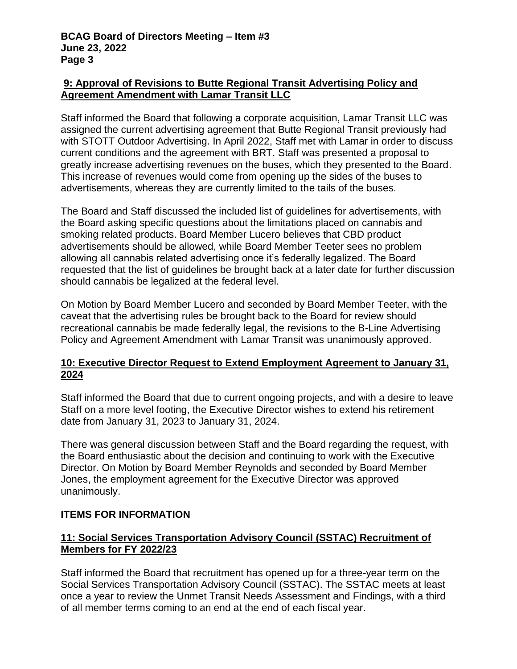## **9: Approval of Revisions to Butte Regional Transit Advertising Policy and Agreement Amendment with Lamar Transit LLC**

Staff informed the Board that following a corporate acquisition, Lamar Transit LLC was assigned the current advertising agreement that Butte Regional Transit previously had with STOTT Outdoor Advertising. In April 2022, Staff met with Lamar in order to discuss current conditions and the agreement with BRT. Staff was presented a proposal to greatly increase advertising revenues on the buses, which they presented to the Board. This increase of revenues would come from opening up the sides of the buses to advertisements, whereas they are currently limited to the tails of the buses.

The Board and Staff discussed the included list of guidelines for advertisements, with the Board asking specific questions about the limitations placed on cannabis and smoking related products. Board Member Lucero believes that CBD product advertisements should be allowed, while Board Member Teeter sees no problem allowing all cannabis related advertising once it's federally legalized. The Board requested that the list of guidelines be brought back at a later date for further discussion should cannabis be legalized at the federal level.

On Motion by Board Member Lucero and seconded by Board Member Teeter, with the caveat that the advertising rules be brought back to the Board for review should recreational cannabis be made federally legal, the revisions to the B-Line Advertising Policy and Agreement Amendment with Lamar Transit was unanimously approved.

## **10: Executive Director Request to Extend Employment Agreement to January 31, 2024**

Staff informed the Board that due to current ongoing projects, and with a desire to leave Staff on a more level footing, the Executive Director wishes to extend his retirement date from January 31, 2023 to January 31, 2024.

There was general discussion between Staff and the Board regarding the request, with the Board enthusiastic about the decision and continuing to work with the Executive Director. On Motion by Board Member Reynolds and seconded by Board Member Jones, the employment agreement for the Executive Director was approved unanimously.

# **ITEMS FOR INFORMATION**

# **11: Social Services Transportation Advisory Council (SSTAC) Recruitment of Members for FY 2022/23**

Staff informed the Board that recruitment has opened up for a three-year term on the Social Services Transportation Advisory Council (SSTAC). The SSTAC meets at least once a year to review the Unmet Transit Needs Assessment and Findings, with a third of all member terms coming to an end at the end of each fiscal year.